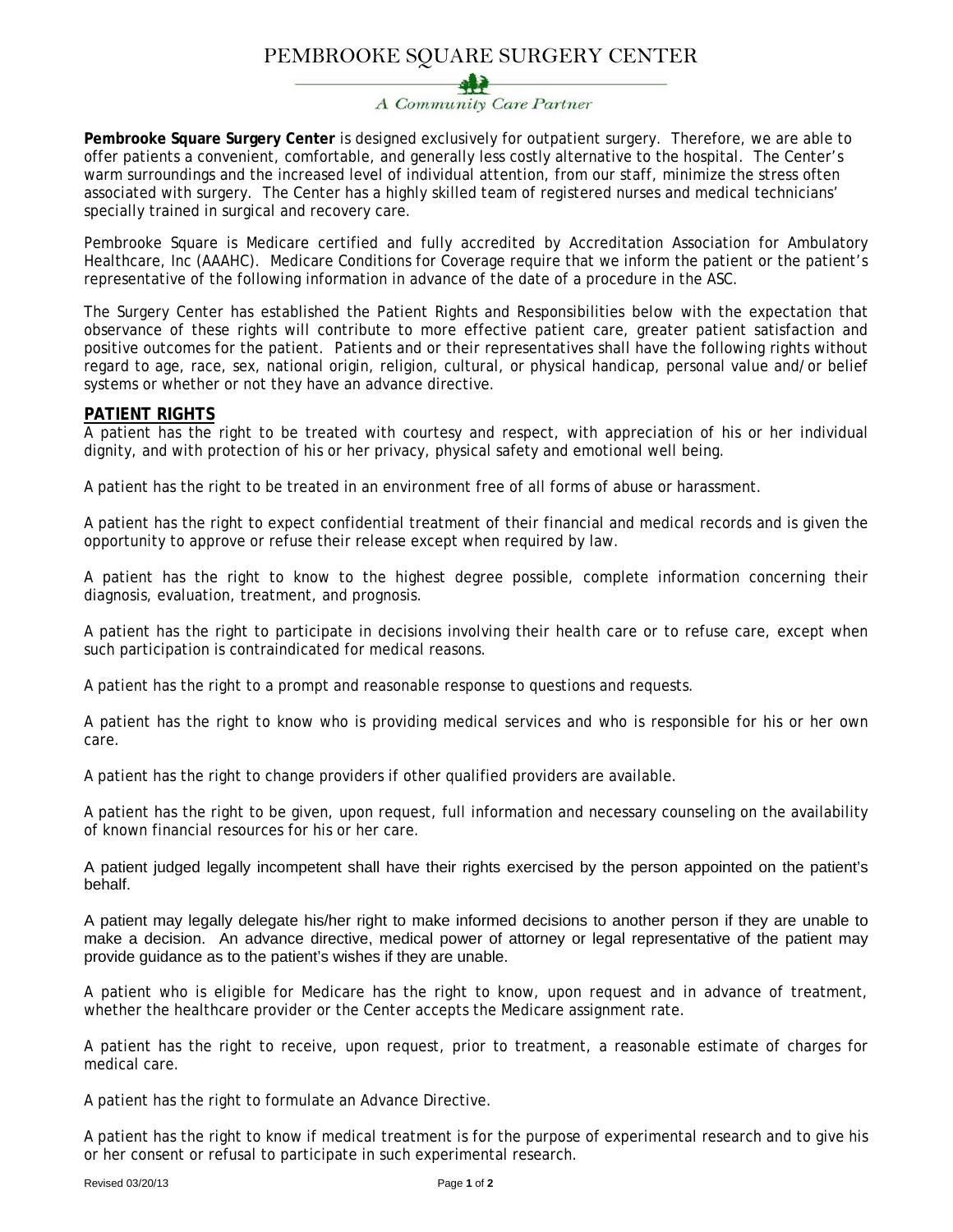# PEMBROOKE SQUARE SURGERY CENTER

# A Community Care Partner

**Pembrooke Square Surgery Center** is designed exclusively for outpatient surgery. Therefore, we are able to offer patients a convenient, comfortable, and generally less costly alternative to the hospital. The Center's warm surroundings and the increased level of individual attention, from our staff, minimize the stress often associated with surgery. The Center has a highly skilled team of registered nurses and medical technicians' specially trained in surgical and recovery care.

Pembrooke Square is Medicare certified and fully accredited by Accreditation Association for Ambulatory Healthcare, Inc (AAAHC). Medicare Conditions for Coverage require that we inform the patient or the patient's representative of the following information in advance of the date of a procedure in the ASC.

The Surgery Center has established the Patient Rights and Responsibilities below with the expectation that observance of these rights will contribute to more effective patient care, greater patient satisfaction and positive outcomes for the patient. Patients and or their representatives shall have the following rights without regard to age, race, sex, national origin, religion, cultural, or physical handicap, personal value and/or belief systems or whether or not they have an advance directive.

## **PATIENT RIGHTS**

A patient has the right to be treated with courtesy and respect, with appreciation of his or her individual dignity, and with protection of his or her privacy, physical safety and emotional well being.

A patient has the right to be treated in an environment free of all forms of abuse or harassment.

A patient has the right to expect confidential treatment of their financial and medical records and is given the opportunity to approve or refuse their release except when required by law.

A patient has the right to know to the highest degree possible, complete information concerning their diagnosis, evaluation, treatment, and prognosis.

A patient has the right to participate in decisions involving their health care or to refuse care, except when such participation is contraindicated for medical reasons.

A patient has the right to a prompt and reasonable response to questions and requests.

A patient has the right to know who is providing medical services and who is responsible for his or her own care.

A patient has the right to change providers if other qualified providers are available.

A patient has the right to be given, upon request, full information and necessary counseling on the availability of known financial resources for his or her care.

A patient judged legally incompetent shall have their rights exercised by the person appointed on the patient's behalf.

A patient may legally delegate his/her right to make informed decisions to another person if they are unable to make a decision. An advance directive, medical power of attorney or legal representative of the patient may provide guidance as to the patient's wishes if they are unable.

A patient who is eligible for Medicare has the right to know, upon request and in advance of treatment, whether the healthcare provider or the Center accepts the Medicare assignment rate.

A patient has the right to receive, upon request, prior to treatment, a reasonable estimate of charges for medical care.

A patient has the right to formulate an Advance Directive.

A patient has the right to know if medical treatment is for the purpose of experimental research and to give his or her consent or refusal to participate in such experimental research.